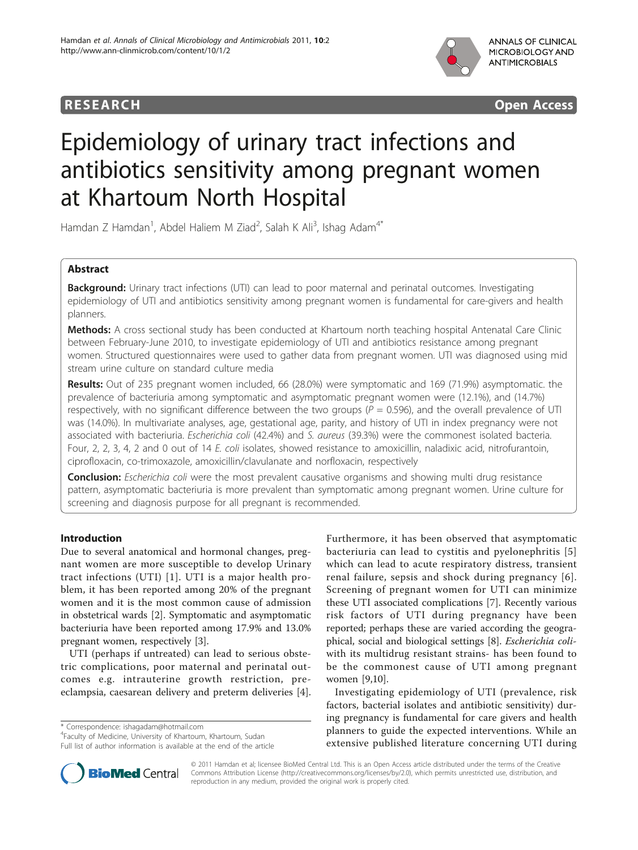## **RESEARCH CONSUMING ACCESS**



# Epidemiology of urinary tract infections and antibiotics sensitivity among pregnant women at Khartoum North Hospital

Hamdan Z Hamdan<sup>1</sup>, Abdel Haliem M Ziad<sup>2</sup>, Salah K Ali<sup>3</sup>, Ishag Adam<sup>4\*</sup>

## Abstract

Background: Urinary tract infections (UTI) can lead to poor maternal and perinatal outcomes. Investigating epidemiology of UTI and antibiotics sensitivity among pregnant women is fundamental for care-givers and health planners.

Methods: A cross sectional study has been conducted at Khartoum north teaching hospital Antenatal Care Clinic between February-June 2010, to investigate epidemiology of UTI and antibiotics resistance among pregnant women. Structured questionnaires were used to gather data from pregnant women. UTI was diagnosed using mid stream urine culture on standard culture media

Results: Out of 235 pregnant women included, 66 (28.0%) were symptomatic and 169 (71.9%) asymptomatic. the prevalence of bacteriuria among symptomatic and asymptomatic pregnant women were (12.1%), and (14.7%) respectively, with no significant difference between the two groups ( $P = 0.596$ ), and the overall prevalence of UTI was (14.0%). In multivariate analyses, age, gestational age, parity, and history of UTI in index pregnancy were not associated with bacteriuria. Escherichia coli (42.4%) and S. aureus (39.3%) were the commonest isolated bacteria. Four, 2, 2, 3, 4, 2 and 0 out of 14 E. coli isolates, showed resistance to amoxicillin, naladixic acid, nitrofurantoin, ciprofloxacin, co-trimoxazole, amoxicillin/clavulanate and norfloxacin, respectively

**Conclusion:** Escherichia coli were the most prevalent causative organisms and showing multi drug resistance pattern, asymptomatic bacteriuria is more prevalent than symptomatic among pregnant women. Urine culture for screening and diagnosis purpose for all pregnant is recommended.

### Introduction

Due to several anatomical and hormonal changes, pregnant women are more susceptible to develop Urinary tract infections (UTI) [[1](#page-3-0)]. UTI is a major health problem, it has been reported among 20% of the pregnant women and it is the most common cause of admission in obstetrical wards [\[2](#page-3-0)]. Symptomatic and asymptomatic bacteriuria have been reported among 17.9% and 13.0% pregnant women, respectively [[3\]](#page-3-0).

UTI (perhaps if untreated) can lead to serious obstetric complications, poor maternal and perinatal outcomes e.g. intrauterine growth restriction, preeclampsia, caesarean delivery and preterm deliveries [\[4](#page-3-0)].

\* Correspondence: [ishagadam@hotmail.com](mailto:ishagadam@hotmail.com)

4 Faculty of Medicine, University of Khartoum, Khartoum, Sudan Full list of author information is available at the end of the article Furthermore, it has been observed that asymptomatic bacteriuria can lead to cystitis and pyelonephritis [[5](#page-3-0)] which can lead to acute respiratory distress, transient renal failure, sepsis and shock during pregnancy [[6\]](#page-3-0). Screening of pregnant women for UTI can minimize these UTI associated complications [[7](#page-3-0)]. Recently various risk factors of UTI during pregnancy have been reported; perhaps these are varied according the geographical, social and biological settings [\[8](#page-3-0)]. Escherichia coliwith its multidrug resistant strains- has been found to be the commonest cause of UTI among pregnant women [[9,10\]](#page-3-0).

Investigating epidemiology of UTI (prevalence, risk factors, bacterial isolates and antibiotic sensitivity) during pregnancy is fundamental for care givers and health planners to guide the expected interventions. While an extensive published literature concerning UTI during



© 2011 Hamdan et al; licensee BioMed Central Ltd. This is an Open Access article distributed under the terms of the Creative Commons Attribution License [\(http://creativecommons.org/licenses/by/2.0](http://creativecommons.org/licenses/by/2.0)), which permits unrestricted use, distribution, and reproduction in any medium, provided the original work is properly cited.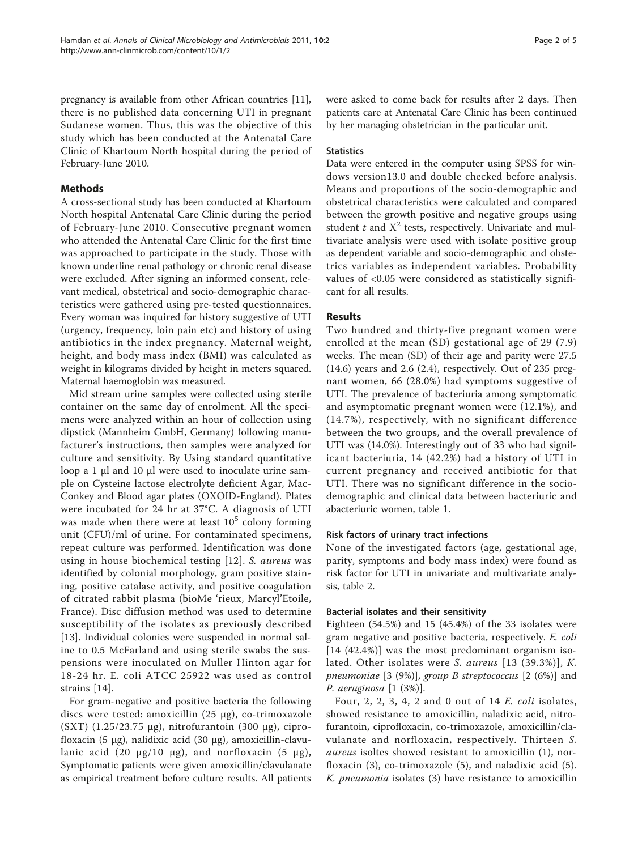pregnancy is available from other African countries [\[11](#page-3-0)], there is no published data concerning UTI in pregnant Sudanese women. Thus, this was the objective of this study which has been conducted at the Antenatal Care Clinic of Khartoum North hospital during the period of February-June 2010.

#### Methods

A cross-sectional study has been conducted at Khartoum North hospital Antenatal Care Clinic during the period of February-June 2010. Consecutive pregnant women who attended the Antenatal Care Clinic for the first time was approached to participate in the study. Those with known underline renal pathology or chronic renal disease were excluded. After signing an informed consent, relevant medical, obstetrical and socio-demographic characteristics were gathered using pre-tested questionnaires. Every woman was inquired for history suggestive of UTI (urgency, frequency, loin pain etc) and history of using antibiotics in the index pregnancy. Maternal weight, height, and body mass index (BMI) was calculated as weight in kilograms divided by height in meters squared. Maternal haemoglobin was measured.

Mid stream urine samples were collected using sterile container on the same day of enrolment. All the specimens were analyzed within an hour of collection using dipstick (Mannheim GmbH, Germany) following manufacturer's instructions, then samples were analyzed for culture and sensitivity. By Using standard quantitative loop a 1 μl and 10 μl were used to inoculate urine sample on Cysteine lactose electrolyte deficient Agar, Mac-Conkey and Blood agar plates (OXOID-England). Plates were incubated for 24 hr at 37°C. A diagnosis of UTI was made when there were at least  $10<sup>5</sup>$  colony forming unit (CFU)/ml of urine. For contaminated specimens, repeat culture was performed. Identification was done using in house biochemical testing [[12](#page-3-0)]. S. aureus was identified by colonial morphology, gram positive staining, positive catalase activity, and positive coagulation of citrated rabbit plasma (bioMe 'rieux, Marcyl'Etoile, France). Disc diffusion method was used to determine susceptibility of the isolates as previously described [[13\]](#page-3-0). Individual colonies were suspended in normal saline to 0.5 McFarland and using sterile swabs the suspensions were inoculated on Muller Hinton agar for 18-24 hr. E. coli ATCC 25922 was used as control strains [[14](#page-3-0)].

For gram-negative and positive bacteria the following discs were tested: amoxicillin (25 μg), co-trimoxazole (SXT) (1.25/23.75 μg), nitrofurantoin (300 μg), ciprofloxacin (5 μg), nalidixic acid (30 μg), amoxicillin-clavulanic acid (20 μg/10 μg), and norfloxacin (5 μg), Symptomatic patients were given amoxicillin/clavulanate as empirical treatment before culture results. All patients were asked to come back for results after 2 days. Then patients care at Antenatal Care Clinic has been continued by her managing obstetrician in the particular unit.

#### **Statistics**

Data were entered in the computer using SPSS for windows version13.0 and double checked before analysis. Means and proportions of the socio-demographic and obstetrical characteristics were calculated and compared between the growth positive and negative groups using student t and  $X^2$  tests, respectively. Univariate and multivariate analysis were used with isolate positive group as dependent variable and socio-demographic and obstetrics variables as independent variables. Probability values of <0.05 were considered as statistically significant for all results.

#### Results

Two hundred and thirty-five pregnant women were enrolled at the mean (SD) gestational age of 29 (7.9) weeks. The mean (SD) of their age and parity were 27.5 (14.6) years and 2.6 (2.4), respectively. Out of 235 pregnant women, 66 (28.0%) had symptoms suggestive of UTI. The prevalence of bacteriuria among symptomatic and asymptomatic pregnant women were (12.1%), and (14.7%), respectively, with no significant difference between the two groups, and the overall prevalence of UTI was (14.0%). Interestingly out of 33 who had significant bacteriuria, 14 (42.2%) had a history of UTI in current pregnancy and received antibiotic for that UTI. There was no significant difference in the sociodemographic and clinical data between bacteriuric and abacteriuric women, table [1.](#page-2-0)

#### Risk factors of urinary tract infections

None of the investigated factors (age, gestational age, parity, symptoms and body mass index) were found as risk factor for UTI in univariate and multivariate analysis, table [2.](#page-2-0)

#### Bacterial isolates and their sensitivity

Eighteen (54.5%) and 15 (45.4%) of the 33 isolates were gram negative and positive bacteria, respectively. E. coli [14 (42.4%)] was the most predominant organism isolated. Other isolates were S. aureus [13 (39.3%)], K. pneumoniae  $[3 (9\%)]$ , group B streptococcus  $[2 (6\%)]$  and P. aeruginosa [1 (3%)].

Four, 2, 2, 3, 4, 2 and 0 out of  $14$  E. coli isolates, showed resistance to amoxicillin, naladixic acid, nitrofurantoin, ciprofloxacin, co-trimoxazole, amoxicillin/clavulanate and norfloxacin, respectively. Thirteen S. aureus isoltes showed resistant to amoxicillin (1), norfloxacin (3), co-trimoxazole (5), and naladixic acid (5). K. pneumonia isolates (3) have resistance to amoxicillin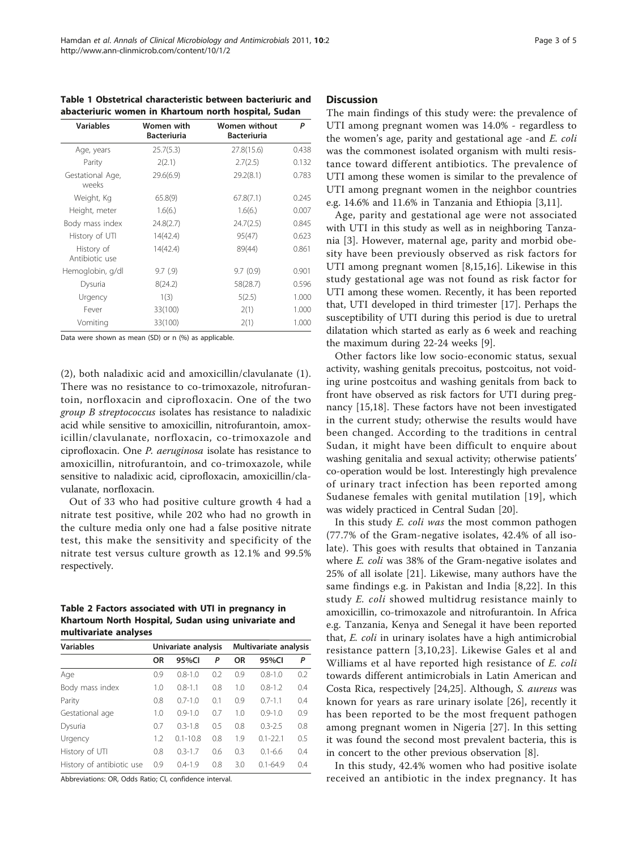<span id="page-2-0"></span>Table 1 Obstetrical characteristic between bacteriuric and abacteriuric women in Khartoum north hospital, Sudan

| <b>Variables</b>             | Women with<br><b>Bacteriuria</b> | <b>Women without</b><br><b>Bacteriuria</b> | P     |
|------------------------------|----------------------------------|--------------------------------------------|-------|
| Age, years                   | 25.7(5.3)                        | 27.8(15.6)                                 | 0.438 |
| Parity                       | 2(2.1)                           | 2.7(2.5)                                   | 0.132 |
| Gestational Age,<br>weeks    | 29.6(6.9)                        | 29.2(8.1)                                  | 0.783 |
| Weight, Kg                   | 65.8(9)                          | 67.8(7.1)                                  | 0.245 |
| Height, meter                | 1.6(6.)                          | 1.6(6.)                                    | 0.007 |
| Body mass index              | 24.8(2.7)                        | 24.7(2.5)                                  | 0.845 |
| History of UTI               | 14(42.4)                         | 95(47)                                     | 0.623 |
| History of<br>Antibiotic use | 14(42.4)                         | 89(44)                                     | 0.861 |
| Hemoglobin, g/dl             | 9.7(9)                           | 9.7(0.9)                                   | 0.901 |
| Dysuria                      | 8(24.2)                          | 58(28.7)                                   | 0.596 |
| Urgency                      | 1(3)                             | 5(2.5)                                     | 1.000 |
| Fever                        | 33(100)                          | 2(1)                                       | 1.000 |
| Vomiting                     | 33(100)                          | 2(1)                                       | 1.000 |

Data were shown as mean (SD) or n (%) as applicable.

(2), both naladixic acid and amoxicillin/clavulanate (1). There was no resistance to co-trimoxazole, nitrofurantoin, norfloxacin and ciprofloxacin. One of the two group B streptococcus isolates has resistance to naladixic acid while sensitive to amoxicillin, nitrofurantoin, amoxicillin/clavulanate, norfloxacin, co-trimoxazole and ciprofloxacin. One P. aeruginosa isolate has resistance to amoxicillin, nitrofurantoin, and co-trimoxazole, while sensitive to naladixic acid, ciprofloxacin, amoxicillin/clavulanate, norfloxacin.

Out of 33 who had positive culture growth 4 had a nitrate test positive, while 202 who had no growth in the culture media only one had a false positive nitrate test, this make the sensitivity and specificity of the nitrate test versus culture growth as 12.1% and 99.5% respectively.

#### Table 2 Factors associated with UTI in pregnancy in Khartoum North Hospital, Sudan using univariate and multivariate analyses

| <b>Variables</b>          | Univariate analysis |              |     | Multivariate analysis |              |     |
|---------------------------|---------------------|--------------|-----|-----------------------|--------------|-----|
|                           | <b>OR</b>           | 95%CI        | P   | OR                    | 95%CI        | P   |
| Age                       | 0.9                 | $0.8 - 1.0$  | 0.2 | 0.9                   | $0.8 - 1.0$  | 0.2 |
| Body mass index           | 1.0                 | $0.8 - 1.1$  | 0.8 | 1.0                   | $0.8 - 1.2$  | 0.4 |
| Parity                    | 0.8                 | $0.7 - 1.0$  | 0.1 | 0.9                   | $0.7 - 1.1$  | 0.4 |
| Gestational age           | 1.0                 | $0.9 - 1.0$  | 0.7 | 1.0                   | $0.9 - 1.0$  | 0.9 |
| Dysuria                   | 0.7                 | $0.3 - 1.8$  | 0.5 | 0.8                   | $0.3 - 2.5$  | 0.8 |
| Urgency                   | 1.2                 | $0.1 - 10.8$ | 0.8 | 1.9                   | $0.1 - 22.1$ | 0.5 |
| History of UTI            | 0.8                 | $0.3 - 1.7$  | 0.6 | 0.3                   | $0.1 - 6.6$  | 0.4 |
| History of antibiotic use | 0.9                 | $0.4 - 1.9$  | 0.8 | 3.0                   | $0.1 - 64.9$ | 0.4 |

Abbreviations: OR, Odds Ratio; CI, confidence interval.

#### **Discussion**

The main findings of this study were: the prevalence of UTI among pregnant women was 14.0% - regardless to the women's age, parity and gestational age -and E. coli was the commonest isolated organism with multi resistance toward different antibiotics. The prevalence of UTI among these women is similar to the prevalence of UTI among pregnant women in the neighbor countries e.g. 14.6% and 11.6% in Tanzania and Ethiopia [\[3,11\]](#page-3-0).

Age, parity and gestational age were not associated with UTI in this study as well as in neighboring Tanzania [[3](#page-3-0)]. However, maternal age, parity and morbid obesity have been previously observed as risk factors for UTI among pregnant women [\[8](#page-3-0),[15,16\]](#page-3-0). Likewise in this study gestational age was not found as risk factor for UTI among these women. Recently, it has been reported that, UTI developed in third trimester [[17\]](#page-3-0). Perhaps the susceptibility of UTI during this period is due to uretral dilatation which started as early as 6 week and reaching the maximum during 22-24 weeks [\[9](#page-3-0)].

Other factors like low socio-economic status, sexual activity, washing genitals precoitus, postcoitus, not voiding urine postcoitus and washing genitals from back to front have observed as risk factors for UTI during pregnancy [[15,18](#page-3-0)]. These factors have not been investigated in the current study; otherwise the results would have been changed. According to the traditions in central Sudan, it might have been difficult to enquire about washing genitalia and sexual activity; otherwise patients' co-operation would be lost. Interestingly high prevalence of urinary tract infection has been reported among Sudanese females with genital mutilation [[19](#page-3-0)], which was widely practiced in Central Sudan [[20](#page-3-0)].

In this study E. coli was the most common pathogen (77.7% of the Gram-negative isolates, 42.4% of all isolate). This goes with results that obtained in Tanzania where E. coli was 38% of the Gram-negative isolates and 25% of all isolate [[21\]](#page-3-0). Likewise, many authors have the same findings e.g. in Pakistan and India [[8,22](#page-3-0)]. In this study *E. coli* showed multidrug resistance mainly to amoxicillin, co-trimoxazole and nitrofurantoin. In Africa e.g. Tanzania, Kenya and Senegal it have been reported that, E. coli in urinary isolates have a high antimicrobial resistance pattern [\[3,10,23](#page-3-0)]. Likewise Gales et al and Williams et al have reported high resistance of E. coli towards different antimicrobials in Latin American and Costa Rica, respectively [\[24,25\]](#page-3-0). Although, S. aureus was known for years as rare urinary isolate [[26\]](#page-3-0), recently it has been reported to be the most frequent pathogen among pregnant women in Nigeria [\[27](#page-3-0)]. In this setting it was found the second most prevalent bacteria, this is in concert to the other previous observation [[8\]](#page-3-0).

In this study, 42.4% women who had positive isolate received an antibiotic in the index pregnancy. It has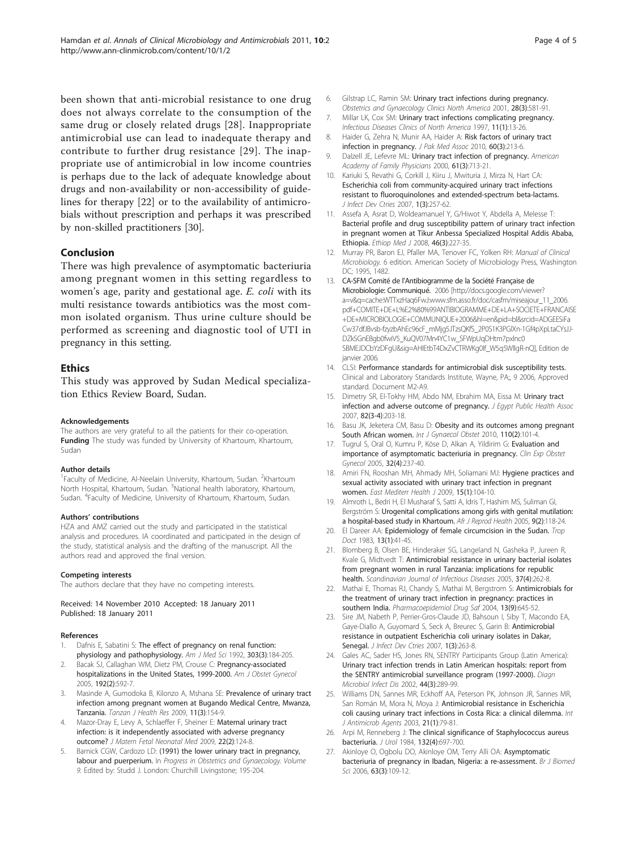<span id="page-3-0"></span>been shown that anti-microbial resistance to one drug does not always correlate to the consumption of the same drug or closely related drugs [[28](#page-4-0)]. Inappropriate antimicrobial use can lead to inadequate therapy and contribute to further drug resistance [[29\]](#page-4-0). The inappropriate use of antimicrobial in low income countries is perhaps due to the lack of adequate knowledge about drugs and non-availability or non-accessibility of guidelines for therapy [22] or to the availability of antimicrobials without prescription and perhaps it was prescribed by non-skilled practitioners [[30](#page-4-0)].

#### Conclusion

There was high prevalence of asymptomatic bacteriuria among pregnant women in this setting regardless to women's age, parity and gestational age. E. coli with its multi resistance towards antibiotics was the most common isolated organism. Thus urine culture should be performed as screening and diagnostic tool of UTI in pregnancy in this setting.

#### Ethics

This study was approved by Sudan Medical specialization Ethics Review Board, Sudan.

#### Acknowledgements

The authors are very grateful to all the patients for their co-operation. Funding The study was funded by University of Khartoum, Khartoum, Sudan

#### Author details

<sup>1</sup> Faculty of Medicine, Al-Neelain University, Khartoum, Sudan. <sup>2</sup>Khartoum North Hospital, Khartoum, Sudan. <sup>3</sup>National health laboratory, Khartoum, Sudan. <sup>4</sup>Faculty of Medicine, University of Khartoum, Khartoum, Sudan.

#### Authors' contributions

HZA and AMZ carried out the study and participated in the statistical analysis and procedures. IA coordinated and participated in the design of the study, statistical analysis and the drafting of the manuscript. All the authors read and approved the final version.

#### Competing interests

The authors declare that they have no competing interests.

Received: 14 November 2010 Accepted: 18 January 2011 Published: 18 January 2011

#### References

- Dafnis E, Sabatini S: [The effect of pregnancy on renal function:](http://www.ncbi.nlm.nih.gov/pubmed/1595782?dopt=Abstract) [physiology and pathophysiology.](http://www.ncbi.nlm.nih.gov/pubmed/1595782?dopt=Abstract) Am J Med Sci 1992, 303(3):184-205.
- Bacak SJ, Callaghan WM, Dietz PM, Crouse C: [Pregnancy-associated](http://www.ncbi.nlm.nih.gov/pubmed/15696008?dopt=Abstract) [hospitalizations in the United States, 1999-2000.](http://www.ncbi.nlm.nih.gov/pubmed/15696008?dopt=Abstract) Am J Obstet Gynecol 2005, 192(2):592-7.
- 3. Masinde A, Gumodoka B, Kilonzo A, Mshana SE: [Prevalence of urinary tract](http://www.ncbi.nlm.nih.gov/pubmed/20734713?dopt=Abstract) [infection among pregnant women at Bugando Medical Centre, Mwanza,](http://www.ncbi.nlm.nih.gov/pubmed/20734713?dopt=Abstract) [Tanzania.](http://www.ncbi.nlm.nih.gov/pubmed/20734713?dopt=Abstract) Tanzan J Health Res 2009, 11(3):154-9.
- Mazor-Dray E, Levy A, Schlaeffer F, Sheiner E: [Maternal urinary tract](http://www.ncbi.nlm.nih.gov/pubmed/19085630?dopt=Abstract) [infection: is it independently associated with adverse pregnancy](http://www.ncbi.nlm.nih.gov/pubmed/19085630?dopt=Abstract) [outcome?](http://www.ncbi.nlm.nih.gov/pubmed/19085630?dopt=Abstract) J Matern Fetal Neonatal Med 2009, 22(2):124-8.
- Barnick CGW, Cardozo LD: (1991) the lower urinary tract in pregnancy, labour and puerperium. In Progress in Obstetrics and Gynaecology. Volume 9. Edited by: Studd J. London: Churchill Livingstone; 195-204.
- 6. Gilstrap LC, Ramin SM: Urinary tract infections during pregnancy. Obstetrics and Gynaecology Clinics North America 2001, 28(3):581-91.
- 7. Millar LK, Cox SM: Urinary tract infections complicating pregnancy. Infectious Diseases Clinics of North America 1997, 11(1):13-26.
- 8. Haider G, Zehra N, Munir AA, Haider A: [Risk factors of urinary tract](http://www.ncbi.nlm.nih.gov/pubmed/20225781?dopt=Abstract) [infection in pregnancy.](http://www.ncbi.nlm.nih.gov/pubmed/20225781?dopt=Abstract) J Pak Med Assoc 2010, 60(3):213-6.
- 9. Dalzell JE, Lefevre ML: Urinary tract infection of pregnancy. American Academy of Family Physicians 2000, 61(3):713-21.
- 10. Kariuki S, Revathi G, Corkill J, Kiiru J, Mwituria J, Mirza N, Hart CA: [Escherichia coli from community-acquired urinary tract infections](http://www.ncbi.nlm.nih.gov/pubmed/19734602?dopt=Abstract) [resistant to fluoroquinolones and extended-spectrum beta-lactams.](http://www.ncbi.nlm.nih.gov/pubmed/19734602?dopt=Abstract) J Infect Dev Ctries 2007, 1(3):257-62.
- 11. Assefa A, Asrat D, Woldeamanuel Y, G/Hiwot Y, Abdella A, Melesse T: [Bacterial profile and drug susceptibility pattern of urinary tract infection](http://www.ncbi.nlm.nih.gov/pubmed/19271386?dopt=Abstract) [in pregnant women at Tikur Anbessa Specialized Hospital Addis Ababa,](http://www.ncbi.nlm.nih.gov/pubmed/19271386?dopt=Abstract) [Ethiopia.](http://www.ncbi.nlm.nih.gov/pubmed/19271386?dopt=Abstract) Ethiop Med J 2008, 46(3):227-35.
- 12. Murray PR, Baron EJ, Pfaller MA, Tenover FC, Yolken RH: Manual of Clinical Microbiology. 6 edition. American Society of Microbiology Press, Washington DC; 1995, 1482.
- 13. CA-SFM Comité de l'Antibiogramme de la Société Française de Microbiologie: Communiqué. 2006 [[http://docs.google.com/viewer?](http://docs.google.com/viewer?a=v&q=cache:WTTxzHaq6FwJ:www.sfm.asso.fr/doc/casfm/miseajour_11_2006.pdf+COMITE+DE+L%E2%80%99ANTIBIOGRAMME+DE+LA+SOCIETE+FRANCAISE+DE+MICROBIOLOGIE+COMMUNIQUE+2006&hl=en&pid=bl&srcid=ADGEESiFaCw37dfJBvsb-fzyzbAhEc96cF_mMjg5JTzsQKfS_2P0S1K3PGlXn-1Gf4pXpLtaCYsJJ-DZkSGnEBgb0fwiV5_KuQV07Mn4YC1w_SFWpUqDHtm7pxlnc0SBMEJDCbYzDFgU&sig=AHIEtbT4DxZvCTRWKg0If_W5q5WllgR-nQ) [a=v&q=cache:WTTxzHaq6FwJ:www.sfm.asso.fr/doc/casfm/miseajour\\_11\\_2006.](http://docs.google.com/viewer?a=v&q=cache:WTTxzHaq6FwJ:www.sfm.asso.fr/doc/casfm/miseajour_11_2006.pdf+COMITE+DE+L%E2%80%99ANTIBIOGRAMME+DE+LA+SOCIETE+FRANCAISE+DE+MICROBIOLOGIE+COMMUNIQUE+2006&hl=en&pid=bl&srcid=ADGEESiFaCw37dfJBvsb-fzyzbAhEc96cF_mMjg5JTzsQKfS_2P0S1K3PGlXn-1Gf4pXpLtaCYsJJ-DZkSGnEBgb0fwiV5_KuQV07Mn4YC1w_SFWpUqDHtm7pxlnc0SBMEJDCbYzDFgU&sig=AHIEtbT4DxZvCTRWKg0If_W5q5WllgR-nQ) [pdf+COMITE+DE+L%E2%80%99ANTIBIOGRAMME+DE+LA+SOCIETE+FRANCAISE](http://docs.google.com/viewer?a=v&q=cache:WTTxzHaq6FwJ:www.sfm.asso.fr/doc/casfm/miseajour_11_2006.pdf+COMITE+DE+L%E2%80%99ANTIBIOGRAMME+DE+LA+SOCIETE+FRANCAISE+DE+MICROBIOLOGIE+COMMUNIQUE+2006&hl=en&pid=bl&srcid=ADGEESiFaCw37dfJBvsb-fzyzbAhEc96cF_mMjg5JTzsQKfS_2P0S1K3PGlXn-1Gf4pXpLtaCYsJJ-DZkSGnEBgb0fwiV5_KuQV07Mn4YC1w_SFWpUqDHtm7pxlnc0SBMEJDCbYzDFgU&sig=AHIEtbT4DxZvCTRWKg0If_W5q5WllgR-nQ) [+DE+MICROBIOLOGIE+COMMUNIQUE+2006&hl=en&pid=bl&srcid=ADGEESiFa](http://docs.google.com/viewer?a=v&q=cache:WTTxzHaq6FwJ:www.sfm.asso.fr/doc/casfm/miseajour_11_2006.pdf+COMITE+DE+L%E2%80%99ANTIBIOGRAMME+DE+LA+SOCIETE+FRANCAISE+DE+MICROBIOLOGIE+COMMUNIQUE+2006&hl=en&pid=bl&srcid=ADGEESiFaCw37dfJBvsb-fzyzbAhEc96cF_mMjg5JTzsQKfS_2P0S1K3PGlXn-1Gf4pXpLtaCYsJJ-DZkSGnEBgb0fwiV5_KuQV07Mn4YC1w_SFWpUqDHtm7pxlnc0SBMEJDCbYzDFgU&sig=AHIEtbT4DxZvCTRWKg0If_W5q5WllgR-nQ) [Cw37dfJBvsb-fzyzbAhEc96cF\\_mMjg5JTzsQKfS\\_2P0S1K3PGlXn-1Gf4pXpLtaCYsJJ-](http://docs.google.com/viewer?a=v&q=cache:WTTxzHaq6FwJ:www.sfm.asso.fr/doc/casfm/miseajour_11_2006.pdf+COMITE+DE+L%E2%80%99ANTIBIOGRAMME+DE+LA+SOCIETE+FRANCAISE+DE+MICROBIOLOGIE+COMMUNIQUE+2006&hl=en&pid=bl&srcid=ADGEESiFaCw37dfJBvsb-fzyzbAhEc96cF_mMjg5JTzsQKfS_2P0S1K3PGlXn-1Gf4pXpLtaCYsJJ-DZkSGnEBgb0fwiV5_KuQV07Mn4YC1w_SFWpUqDHtm7pxlnc0SBMEJDCbYzDFgU&sig=AHIEtbT4DxZvCTRWKg0If_W5q5WllgR-nQ)[DZkSGnEBgb0fwiV5\\_KuQV07Mn4YC1w\\_SFWpUqDHtm7pxlnc0](http://docs.google.com/viewer?a=v&q=cache:WTTxzHaq6FwJ:www.sfm.asso.fr/doc/casfm/miseajour_11_2006.pdf+COMITE+DE+L%E2%80%99ANTIBIOGRAMME+DE+LA+SOCIETE+FRANCAISE+DE+MICROBIOLOGIE+COMMUNIQUE+2006&hl=en&pid=bl&srcid=ADGEESiFaCw37dfJBvsb-fzyzbAhEc96cF_mMjg5JTzsQKfS_2P0S1K3PGlXn-1Gf4pXpLtaCYsJJ-DZkSGnEBgb0fwiV5_KuQV07Mn4YC1w_SFWpUqDHtm7pxlnc0SBMEJDCbYzDFgU&sig=AHIEtbT4DxZvCTRWKg0If_W5q5WllgR-nQ) [SBMEJDCbYzDFgU&sig=AHIEtbT4DxZvCTRWKg0If\\_W5q5WllgR-nQ\]](http://docs.google.com/viewer?a=v&q=cache:WTTxzHaq6FwJ:www.sfm.asso.fr/doc/casfm/miseajour_11_2006.pdf+COMITE+DE+L%E2%80%99ANTIBIOGRAMME+DE+LA+SOCIETE+FRANCAISE+DE+MICROBIOLOGIE+COMMUNIQUE+2006&hl=en&pid=bl&srcid=ADGEESiFaCw37dfJBvsb-fzyzbAhEc96cF_mMjg5JTzsQKfS_2P0S1K3PGlXn-1Gf4pXpLtaCYsJJ-DZkSGnEBgb0fwiV5_KuQV07Mn4YC1w_SFWpUqDHtm7pxlnc0SBMEJDCbYzDFgU&sig=AHIEtbT4DxZvCTRWKg0If_W5q5WllgR-nQ), Edition de janvier 2006.
- 14. CLSI: Performance standards for antimicrobial disk susceptibility tests. Clinical and Laboratory Standards Institute, Wayne, PA;, 9 2006, Approved standard. Document M2-A9.
- 15. Dimetry SR, El-Tokhy HM, Abdo NM, Ebrahim MA, Eissa M: [Urinary tract](http://www.ncbi.nlm.nih.gov/pubmed/18410708?dopt=Abstract) [infection and adverse outcome of pregnancy.](http://www.ncbi.nlm.nih.gov/pubmed/18410708?dopt=Abstract) J Egypt Public Health Assoc 2007, 82(3-4):203-18.
- 16. Basu JK, Jeketera CM, Basu D: [Obesity and its outcomes among pregnant](http://www.ncbi.nlm.nih.gov/pubmed/20417513?dopt=Abstract) [South African women.](http://www.ncbi.nlm.nih.gov/pubmed/20417513?dopt=Abstract) Int J Gynaecol Obstet 2010, 110(2):101-4.
- 17. Tugrul S, Oral O, Kumru P, Köse D, Alkan A, Yildirim G: [Evaluation and](http://www.ncbi.nlm.nih.gov/pubmed/16440822?dopt=Abstract) [importance of asymptomatic bacteriuria in pregnancy.](http://www.ncbi.nlm.nih.gov/pubmed/16440822?dopt=Abstract) Clin Exp Obstet Gynecol 2005, 32(4):237-40.
- 18. Amiri FN, Rooshan MH, Ahmady MH, Soliamani MJ: [Hygiene practices and](http://www.ncbi.nlm.nih.gov/pubmed/19469432?dopt=Abstract) [sexual activity associated with urinary tract infection in pregnant](http://www.ncbi.nlm.nih.gov/pubmed/19469432?dopt=Abstract) [women.](http://www.ncbi.nlm.nih.gov/pubmed/19469432?dopt=Abstract) East Mediterr Health J 2009, 15(1):104-10.
- 19. Almroth L, Bedri H, El Musharaf S, Satti A, Idris T, Hashim MS, Suliman GI, Bergström S: [Urogenital complications among girls with genital mutilation:](http://www.ncbi.nlm.nih.gov/pubmed/16485592?dopt=Abstract) [a hospital-based study in Khartoum.](http://www.ncbi.nlm.nih.gov/pubmed/16485592?dopt=Abstract) Afr J Reprod Health 2005, 9(2):118-24.
- 20. El Dareer AA: [Epidemiology of female circumcision in the Sudan.](http://www.ncbi.nlm.nih.gov/pubmed/6836733?dopt=Abstract) Trop Doct 1983, 13(1):41-45.
- 21. Blomberg B, Olsen BE, Hinderaker SG, Langeland N, Gasheka P, Jureen R, Kvale G, Midtvedt T: [Antimicrobial resistance in urinary bacterial isolates](http://www.ncbi.nlm.nih.gov/pubmed/15871165?dopt=Abstract) [from pregnant women in rural Tanzania: implications for republic](http://www.ncbi.nlm.nih.gov/pubmed/15871165?dopt=Abstract) [health.](http://www.ncbi.nlm.nih.gov/pubmed/15871165?dopt=Abstract) Scandinavian Journal of Infectious Diseases 2005, 37(4):262-8.
- 22. Mathai E, Thomas RJ, Chandy S, Mathai M, Bergstrom S: [Antimicrobials for](http://www.ncbi.nlm.nih.gov/pubmed/15362088?dopt=Abstract) [the treatment of urinary tract infection in pregnancy: practices in](http://www.ncbi.nlm.nih.gov/pubmed/15362088?dopt=Abstract) [southern India.](http://www.ncbi.nlm.nih.gov/pubmed/15362088?dopt=Abstract) Pharmacoepidemiol Drug Saf 2004, 13(9):645-52.
- 23. Sire JM, Nabeth P, Perrier-Gros-Claude JD, Bahsoun I, Siby T, Macondo EA, Gaye-Diallo A, Guyomard S, Seck A, Breurec S, Garin B: [Antimicrobial](http://www.ncbi.nlm.nih.gov/pubmed/19734603?dopt=Abstract) [resistance in outpatient Escherichia coli urinary isolates in Dakar,](http://www.ncbi.nlm.nih.gov/pubmed/19734603?dopt=Abstract) [Senegal.](http://www.ncbi.nlm.nih.gov/pubmed/19734603?dopt=Abstract) *J Infect Dev Ctries* 2007, 1(3):263-8.
- 24. Gales AC, Sader HS, Jones RN, SENTRY Participants Group (Latin America): [Urinary tract infection trends in Latin American hospitals: report from](http://www.ncbi.nlm.nih.gov/pubmed/12493177?dopt=Abstract) [the SENTRY antimicrobial surveillance program \(1997-2000\).](http://www.ncbi.nlm.nih.gov/pubmed/12493177?dopt=Abstract) Diagn Microbiol Infect Dis 2002, 44(3):289-99.
- 25. Williams DN, Sannes MR, Eckhoff AA, Peterson PK, Johnson JR, Sannes MR, San Román M, Mora N, Moya J: [Antimicrobial resistance in Escherichia](http://www.ncbi.nlm.nih.gov/pubmed/12507843?dopt=Abstract) [coli causing urinary tract infections in Costa Rica: a clinical dilemma.](http://www.ncbi.nlm.nih.gov/pubmed/12507843?dopt=Abstract) Int J Antimicrob Agents 2003, 21(1):79-81.
- 26. Arpi M, Renneberg J: [The clinical significance of Staphylococcus aureus](http://www.ncbi.nlm.nih.gov/pubmed/6471216?dopt=Abstract) [bacteriuria.](http://www.ncbi.nlm.nih.gov/pubmed/6471216?dopt=Abstract) J Urol 1984, 132(4):697-700.
- 27. Akinloye O, Ogbolu DO, Akinloye OM, Terry Alli OA: [Asymptomatic](http://www.ncbi.nlm.nih.gov/pubmed/17058709?dopt=Abstract) [bacteriuria of pregnancy in Ibadan, Nigeria: a re-assessment.](http://www.ncbi.nlm.nih.gov/pubmed/17058709?dopt=Abstract) Br J Biomed Sci 2006, 63(3):109-12.